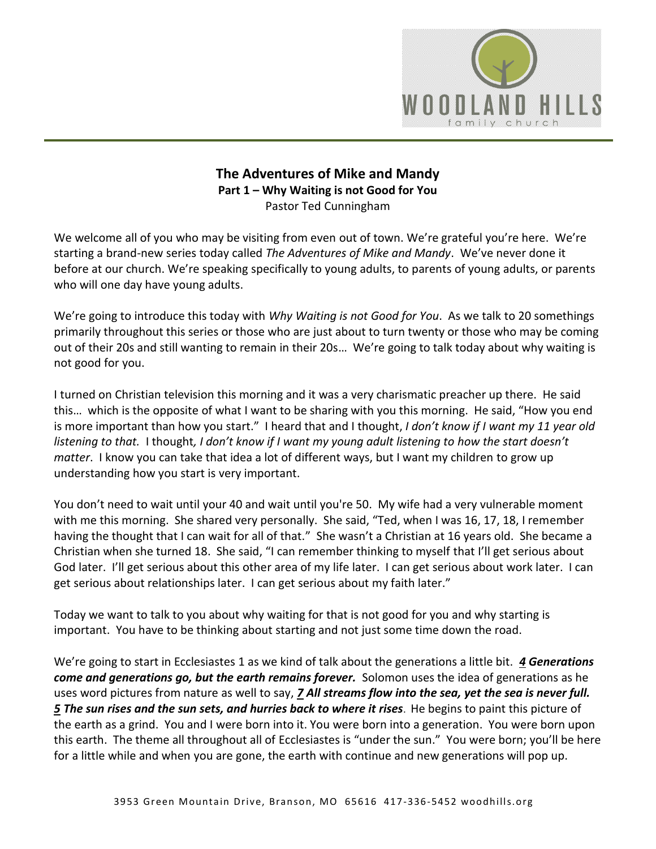

## **The Adventures of Mike and Mandy Part 1 – Why Waiting is not Good for You**  Pastor Ted Cunningham

We welcome all of you who may be visiting from even out of town. We're grateful you're here. We're starting a brand-new series today called *The Adventures of Mike and Mandy*. We've never done it before at our church. We're speaking specifically to young adults, to parents of young adults, or parents who will one day have young adults.

We're going to introduce this today with *Why Waiting is not Good for You*. As we talk to 20 somethings primarily throughout this series or those who are just about to turn twenty or those who may be coming out of their 20s and still wanting to remain in their 20s… We're going to talk today about why waiting is not good for you.

I turned on Christian television this morning and it was a very charismatic preacher up there. He said this… which is the opposite of what I want to be sharing with you this morning. He said, "How you end is more important than how you start." I heard that and I thought, *I don't know if I want my 11 year old listening to that.* I thought*, I don't know if I want my young adult listening to how the start doesn't matter*. I know you can take that idea a lot of different ways, but I want my children to grow up understanding how you start is very important.

You don't need to wait until your 40 and wait until you're 50. My wife had a very vulnerable moment with me this morning. She shared very personally. She said, "Ted, when I was 16, 17, 18, I remember having the thought that I can wait for all of that." She wasn't a Christian at 16 years old. She became a Christian when she turned 18. She said, "I can remember thinking to myself that I'll get serious about God later. I'll get serious about this other area of my life later. I can get serious about work later. I can get serious about relationships later. I can get serious about my faith later."

Today we want to talk to you about why waiting for that is not good for you and why starting is important. You have to be thinking about starting and not just some time down the road.

We're going to start in Ecclesiastes 1 as we kind of talk about the generations a little bit. *[4](http://www.studylight.org/desk/?q=ec%201:4&t1=en_niv&sr=1) Generations come and generations go, but the earth remains forever.* Solomon uses the idea of generations as he uses word pictures from nature as well to say, *[7](http://www.studylight.org/desk/?q=ec%201:7&t1=en_niv&sr=1) All streams flow into the sea, yet the sea is never full. [5](http://www.studylight.org/desk/?q=ec%201:5&t1=en_niv&sr=1) The sun rises and the sun sets, and hurries back to where it rises*. He begins to paint this picture of the earth as a grind. You and I were born into it. You were born into a generation. You were born upon this earth. The theme all throughout all of Ecclesiastes is "under the sun." You were born; you'll be here for a little while and when you are gone, the earth with continue and new generations will pop up.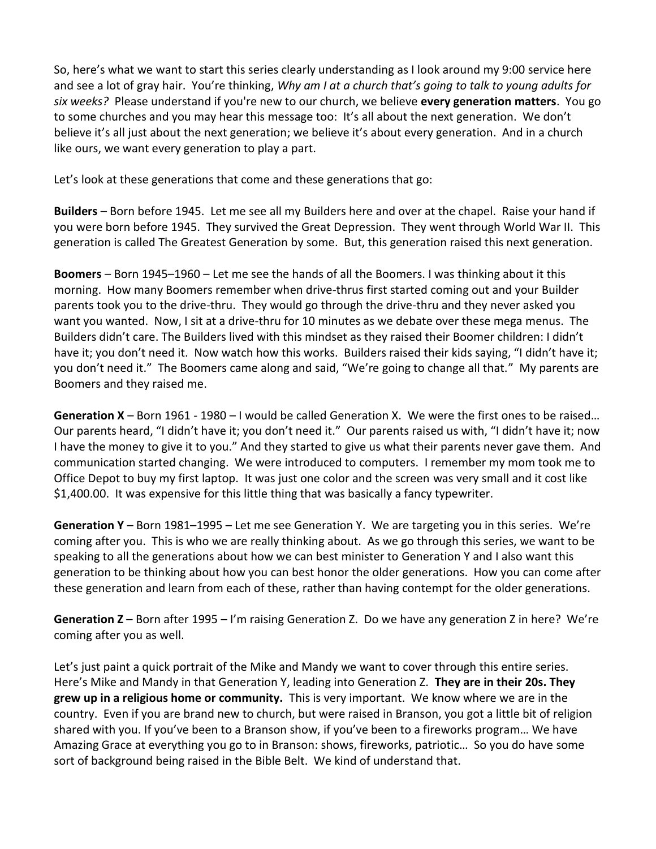So, here's what we want to start this series clearly understanding as I look around my 9:00 service here and see a lot of gray hair. You're thinking, *Why am I at a church that's going to talk to young adults for six weeks?* Please understand if you're new to our church, we believe **every generation matters**. You go to some churches and you may hear this message too: It's all about the next generation. We don't believe it's all just about the next generation; we believe it's about every generation. And in a church like ours, we want every generation to play a part.

Let's look at these generations that come and these generations that go:

**Builders** – Born before 1945. Let me see all my Builders here and over at the chapel. Raise your hand if you were born before 1945. They survived the Great Depression. They went through World War II. This generation is called The Greatest Generation by some. But, this generation raised this next generation.

**Boomers** – Born 1945–1960 – Let me see the hands of all the Boomers. I was thinking about it this morning. How many Boomers remember when drive-thrus first started coming out and your Builder parents took you to the drive-thru. They would go through the drive-thru and they never asked you want you wanted. Now, I sit at a drive-thru for 10 minutes as we debate over these mega menus. The Builders didn't care. The Builders lived with this mindset as they raised their Boomer children: I didn't have it; you don't need it. Now watch how this works. Builders raised their kids saying, "I didn't have it; you don't need it." The Boomers came along and said, "We're going to change all that." My parents are Boomers and they raised me.

**Generation X** – Born 1961 - 1980 – I would be called Generation X. We were the first ones to be raised… Our parents heard, "I didn't have it; you don't need it." Our parents raised us with, "I didn't have it; now I have the money to give it to you." And they started to give us what their parents never gave them. And communication started changing. We were introduced to computers. I remember my mom took me to Office Depot to buy my first laptop. It was just one color and the screen was very small and it cost like \$1,400.00. It was expensive for this little thing that was basically a fancy typewriter.

**Generation Y** – Born 1981–1995 – Let me see Generation Y. We are targeting you in this series. We're coming after you. This is who we are really thinking about. As we go through this series, we want to be speaking to all the generations about how we can best minister to Generation Y and I also want this generation to be thinking about how you can best honor the older generations. How you can come after these generation and learn from each of these, rather than having contempt for the older generations.

**Generation Z** – Born after 1995 – I'm raising Generation Z. Do we have any generation Z in here? We're coming after you as well.

Let's just paint a quick portrait of the Mike and Mandy we want to cover through this entire series. Here's Mike and Mandy in that Generation Y, leading into Generation Z. **They are in their 20s. They grew up in a religious home or community.** This is very important. We know where we are in the country. Even if you are brand new to church, but were raised in Branson, you got a little bit of religion shared with you. If you've been to a Branson show, if you've been to a fireworks program… We have Amazing Grace at everything you go to in Branson: shows, fireworks, patriotic… So you do have some sort of background being raised in the Bible Belt. We kind of understand that.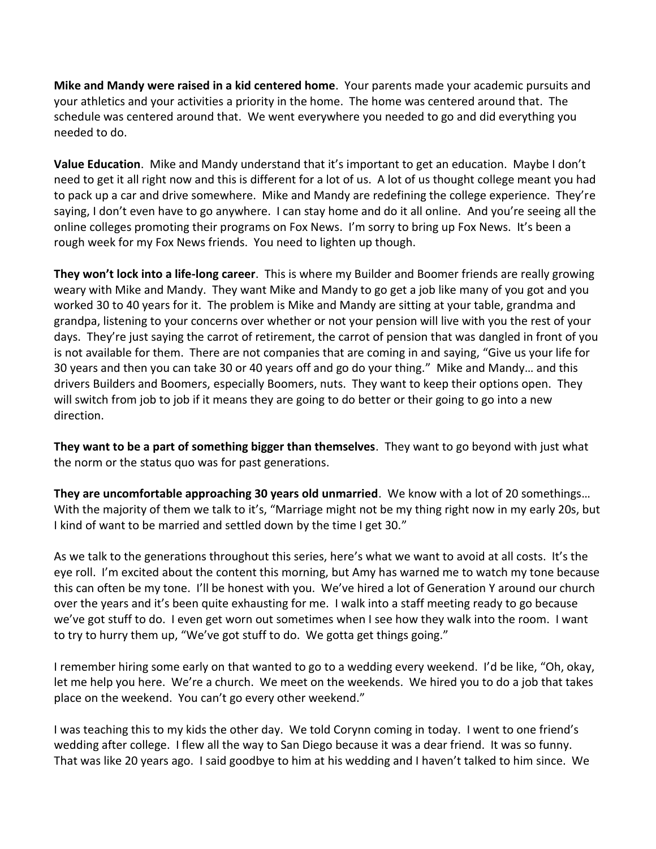**Mike and Mandy were raised in a kid centered home**. Your parents made your academic pursuits and your athletics and your activities a priority in the home. The home was centered around that. The schedule was centered around that. We went everywhere you needed to go and did everything you needed to do.

**Value Education**. Mike and Mandy understand that it's important to get an education. Maybe I don't need to get it all right now and this is different for a lot of us. A lot of us thought college meant you had to pack up a car and drive somewhere. Mike and Mandy are redefining the college experience. They're saying, I don't even have to go anywhere. I can stay home and do it all online. And you're seeing all the online colleges promoting their programs on Fox News. I'm sorry to bring up Fox News. It's been a rough week for my Fox News friends. You need to lighten up though.

**They won't lock into a life-long career**. This is where my Builder and Boomer friends are really growing weary with Mike and Mandy. They want Mike and Mandy to go get a job like many of you got and you worked 30 to 40 years for it. The problem is Mike and Mandy are sitting at your table, grandma and grandpa, listening to your concerns over whether or not your pension will live with you the rest of your days. They're just saying the carrot of retirement, the carrot of pension that was dangled in front of you is not available for them. There are not companies that are coming in and saying, "Give us your life for 30 years and then you can take 30 or 40 years off and go do your thing." Mike and Mandy… and this drivers Builders and Boomers, especially Boomers, nuts. They want to keep their options open. They will switch from job to job if it means they are going to do better or their going to go into a new direction.

**They want to be a part of something bigger than themselves**. They want to go beyond with just what the norm or the status quo was for past generations.

**They are uncomfortable approaching 30 years old unmarried**. We know with a lot of 20 somethings… With the majority of them we talk to it's, "Marriage might not be my thing right now in my early 20s, but I kind of want to be married and settled down by the time I get 30."

As we talk to the generations throughout this series, here's what we want to avoid at all costs. It's the eye roll. I'm excited about the content this morning, but Amy has warned me to watch my tone because this can often be my tone. I'll be honest with you. We've hired a lot of Generation Y around our church over the years and it's been quite exhausting for me. I walk into a staff meeting ready to go because we've got stuff to do. I even get worn out sometimes when I see how they walk into the room. I want to try to hurry them up, "We've got stuff to do. We gotta get things going."

I remember hiring some early on that wanted to go to a wedding every weekend. I'd be like, "Oh, okay, let me help you here. We're a church. We meet on the weekends. We hired you to do a job that takes place on the weekend. You can't go every other weekend."

I was teaching this to my kids the other day. We told Corynn coming in today. I went to one friend's wedding after college. I flew all the way to San Diego because it was a dear friend. It was so funny. That was like 20 years ago. I said goodbye to him at his wedding and I haven't talked to him since. We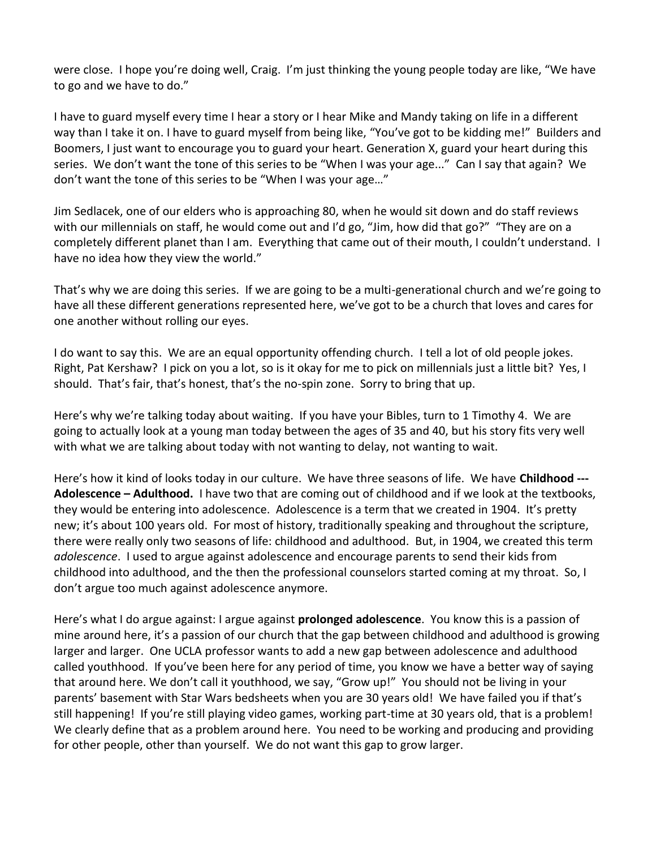were close. I hope you're doing well, Craig. I'm just thinking the young people today are like, "We have to go and we have to do."

I have to guard myself every time I hear a story or I hear Mike and Mandy taking on life in a different way than I take it on. I have to guard myself from being like, "You've got to be kidding me!" Builders and Boomers, I just want to encourage you to guard your heart. Generation X, guard your heart during this series. We don't want the tone of this series to be "When I was your age..." Can I say that again? We don't want the tone of this series to be "When I was your age…"

Jim Sedlacek, one of our elders who is approaching 80, when he would sit down and do staff reviews with our millennials on staff, he would come out and I'd go, "Jim, how did that go?" "They are on a completely different planet than I am. Everything that came out of their mouth, I couldn't understand. I have no idea how they view the world."

That's why we are doing this series. If we are going to be a multi-generational church and we're going to have all these different generations represented here, we've got to be a church that loves and cares for one another without rolling our eyes.

I do want to say this. We are an equal opportunity offending church. I tell a lot of old people jokes. Right, Pat Kershaw? I pick on you a lot, so is it okay for me to pick on millennials just a little bit? Yes, I should. That's fair, that's honest, that's the no-spin zone. Sorry to bring that up.

Here's why we're talking today about waiting. If you have your Bibles, turn to 1 Timothy 4. We are going to actually look at a young man today between the ages of 35 and 40, but his story fits very well with what we are talking about today with not wanting to delay, not wanting to wait.

Here's how it kind of looks today in our culture. We have three seasons of life. We have **Childhood --- Adolescence – Adulthood.** I have two that are coming out of childhood and if we look at the textbooks, they would be entering into adolescence. Adolescence is a term that we created in 1904. It's pretty new; it's about 100 years old. For most of history, traditionally speaking and throughout the scripture, there were really only two seasons of life: childhood and adulthood. But, in 1904, we created this term *adolescence*. I used to argue against adolescence and encourage parents to send their kids from childhood into adulthood, and the then the professional counselors started coming at my throat. So, I don't argue too much against adolescence anymore.

Here's what I do argue against: I argue against **prolonged adolescence**. You know this is a passion of mine around here, it's a passion of our church that the gap between childhood and adulthood is growing larger and larger. One UCLA professor wants to add a new gap between adolescence and adulthood called youthhood. If you've been here for any period of time, you know we have a better way of saying that around here. We don't call it youthhood, we say, "Grow up!" You should not be living in your parents' basement with Star Wars bedsheets when you are 30 years old! We have failed you if that's still happening! If you're still playing video games, working part-time at 30 years old, that is a problem! We clearly define that as a problem around here. You need to be working and producing and providing for other people, other than yourself. We do not want this gap to grow larger.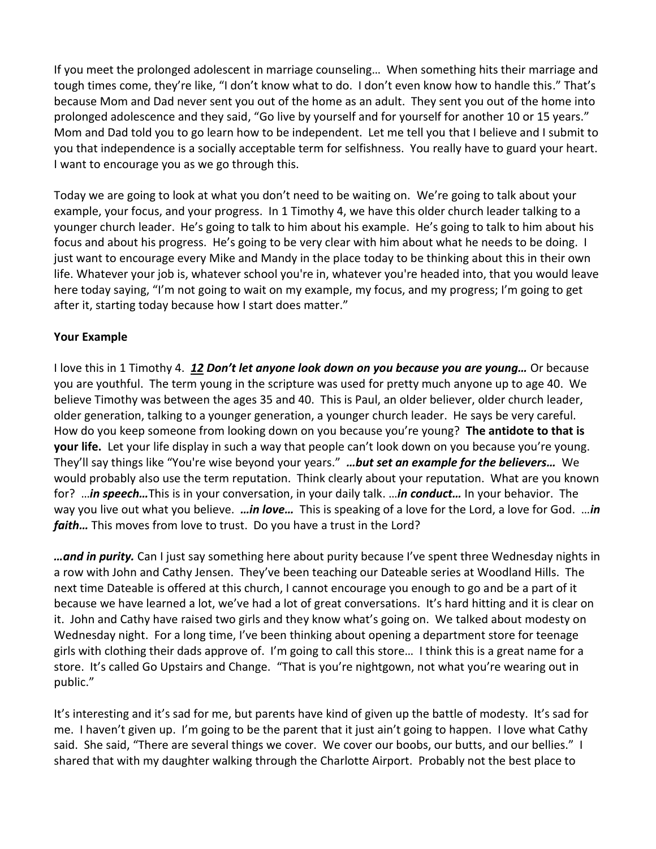If you meet the prolonged adolescent in marriage counseling… When something hits their marriage and tough times come, they're like, "I don't know what to do. I don't even know how to handle this." That's because Mom and Dad never sent you out of the home as an adult. They sent you out of the home into prolonged adolescence and they said, "Go live by yourself and for yourself for another 10 or 15 years." Mom and Dad told you to go learn how to be independent. Let me tell you that I believe and I submit to you that independence is a socially acceptable term for selfishness. You really have to guard your heart. I want to encourage you as we go through this.

Today we are going to look at what you don't need to be waiting on. We're going to talk about your example, your focus, and your progress. In 1 Timothy 4, we have this older church leader talking to a younger church leader. He's going to talk to him about his example. He's going to talk to him about his focus and about his progress. He's going to be very clear with him about what he needs to be doing. I just want to encourage every Mike and Mandy in the place today to be thinking about this in their own life. Whatever your job is, whatever school you're in, whatever you're headed into, that you would leave here today saying, "I'm not going to wait on my example, my focus, and my progress; I'm going to get after it, starting today because how I start does matter."

## **Your Example**

I love this in 1 Timothy 4. *[12](http://www.studylight.org/desk/?q=1ti%204:12&t1=en_niv&sr=1) Don't let anyone look down on you because you are young…* Or because you are youthful. The term young in the scripture was used for pretty much anyone up to age 40. We believe Timothy was between the ages 35 and 40. This is Paul, an older believer, older church leader, older generation, talking to a younger generation, a younger church leader. He says be very careful. How do you keep someone from looking down on you because you're young? **The antidote to that is your life.** Let your life display in such a way that people can't look down on you because you're young. They'll say things like "You're wise beyond your years." *…but set an example for the believers…* We would probably also use the term reputation. Think clearly about your reputation. What are you known for? …*in speech…*This is in your conversation, in your daily talk. …*in conduct…* In your behavior. The way you live out what you believe. *…in love…* This is speaking of a love for the Lord, a love for God. …*in faith…* This moves from love to trust. Do you have a trust in the Lord?

*…and in purity.* Can I just say something here about purity because I've spent three Wednesday nights in a row with John and Cathy Jensen. They've been teaching our Dateable series at Woodland Hills. The next time Dateable is offered at this church, I cannot encourage you enough to go and be a part of it because we have learned a lot, we've had a lot of great conversations. It's hard hitting and it is clear on it. John and Cathy have raised two girls and they know what's going on. We talked about modesty on Wednesday night. For a long time, I've been thinking about opening a department store for teenage girls with clothing their dads approve of. I'm going to call this store… I think this is a great name for a store. It's called Go Upstairs and Change. "That is you're nightgown, not what you're wearing out in public."

It's interesting and it's sad for me, but parents have kind of given up the battle of modesty. It's sad for me. I haven't given up. I'm going to be the parent that it just ain't going to happen. I love what Cathy said. She said, "There are several things we cover. We cover our boobs, our butts, and our bellies." I shared that with my daughter walking through the Charlotte Airport. Probably not the best place to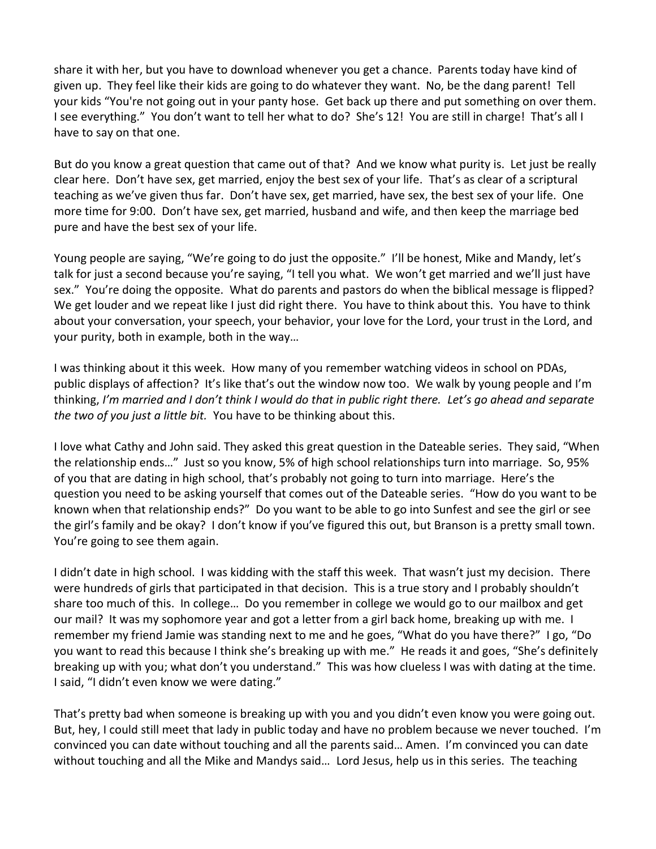share it with her, but you have to download whenever you get a chance. Parents today have kind of given up. They feel like their kids are going to do whatever they want. No, be the dang parent! Tell your kids "You're not going out in your panty hose. Get back up there and put something on over them. I see everything." You don't want to tell her what to do? She's 12! You are still in charge! That's all I have to say on that one.

But do you know a great question that came out of that? And we know what purity is. Let just be really clear here. Don't have sex, get married, enjoy the best sex of your life. That's as clear of a scriptural teaching as we've given thus far. Don't have sex, get married, have sex, the best sex of your life. One more time for 9:00. Don't have sex, get married, husband and wife, and then keep the marriage bed pure and have the best sex of your life.

Young people are saying, "We're going to do just the opposite." I'll be honest, Mike and Mandy, let's talk for just a second because you're saying, "I tell you what. We won't get married and we'll just have sex." You're doing the opposite. What do parents and pastors do when the biblical message is flipped? We get louder and we repeat like I just did right there. You have to think about this. You have to think about your conversation, your speech, your behavior, your love for the Lord, your trust in the Lord, and your purity, both in example, both in the way…

I was thinking about it this week. How many of you remember watching videos in school on PDAs, public displays of affection? It's like that's out the window now too. We walk by young people and I'm thinking, *I'm married and I don't think I would do that in public right there. Let's go ahead and separate the two of you just a little bit.* You have to be thinking about this.

I love what Cathy and John said. They asked this great question in the Dateable series. They said, "When the relationship ends…" Just so you know, 5% of high school relationships turn into marriage. So, 95% of you that are dating in high school, that's probably not going to turn into marriage. Here's the question you need to be asking yourself that comes out of the Dateable series. "How do you want to be known when that relationship ends?" Do you want to be able to go into Sunfest and see the girl or see the girl's family and be okay? I don't know if you've figured this out, but Branson is a pretty small town. You're going to see them again.

I didn't date in high school. I was kidding with the staff this week. That wasn't just my decision. There were hundreds of girls that participated in that decision. This is a true story and I probably shouldn't share too much of this. In college… Do you remember in college we would go to our mailbox and get our mail? It was my sophomore year and got a letter from a girl back home, breaking up with me. I remember my friend Jamie was standing next to me and he goes, "What do you have there?" I go, "Do you want to read this because I think she's breaking up with me." He reads it and goes, "She's definitely breaking up with you; what don't you understand." This was how clueless I was with dating at the time. I said, "I didn't even know we were dating."

That's pretty bad when someone is breaking up with you and you didn't even know you were going out. But, hey, I could still meet that lady in public today and have no problem because we never touched. I'm convinced you can date without touching and all the parents said… Amen. I'm convinced you can date without touching and all the Mike and Mandys said… Lord Jesus, help us in this series. The teaching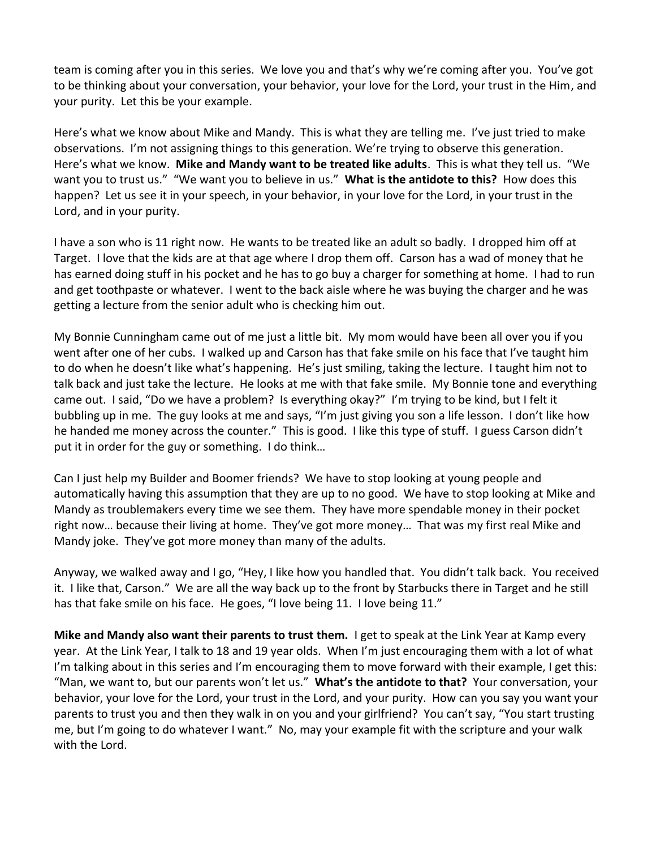team is coming after you in this series. We love you and that's why we're coming after you. You've got to be thinking about your conversation, your behavior, your love for the Lord, your trust in the Him, and your purity. Let this be your example.

Here's what we know about Mike and Mandy. This is what they are telling me. I've just tried to make observations. I'm not assigning things to this generation. We're trying to observe this generation. Here's what we know. **Mike and Mandy want to be treated like adults**. This is what they tell us. "We want you to trust us." "We want you to believe in us." **What is the antidote to this?** How does this happen? Let us see it in your speech, in your behavior, in your love for the Lord, in your trust in the Lord, and in your purity.

I have a son who is 11 right now. He wants to be treated like an adult so badly. I dropped him off at Target. I love that the kids are at that age where I drop them off. Carson has a wad of money that he has earned doing stuff in his pocket and he has to go buy a charger for something at home. I had to run and get toothpaste or whatever. I went to the back aisle where he was buying the charger and he was getting a lecture from the senior adult who is checking him out.

My Bonnie Cunningham came out of me just a little bit. My mom would have been all over you if you went after one of her cubs. I walked up and Carson has that fake smile on his face that I've taught him to do when he doesn't like what's happening. He's just smiling, taking the lecture. I taught him not to talk back and just take the lecture. He looks at me with that fake smile. My Bonnie tone and everything came out. I said, "Do we have a problem? Is everything okay?" I'm trying to be kind, but I felt it bubbling up in me. The guy looks at me and says, "I'm just giving you son a life lesson. I don't like how he handed me money across the counter." This is good. I like this type of stuff. I guess Carson didn't put it in order for the guy or something. I do think…

Can I just help my Builder and Boomer friends? We have to stop looking at young people and automatically having this assumption that they are up to no good. We have to stop looking at Mike and Mandy as troublemakers every time we see them. They have more spendable money in their pocket right now… because their living at home. They've got more money… That was my first real Mike and Mandy joke. They've got more money than many of the adults.

Anyway, we walked away and I go, "Hey, I like how you handled that. You didn't talk back. You received it. I like that, Carson." We are all the way back up to the front by Starbucks there in Target and he still has that fake smile on his face. He goes, "I love being 11. I love being 11."

**Mike and Mandy also want their parents to trust them.** I get to speak at the Link Year at Kamp every year. At the Link Year, I talk to 18 and 19 year olds. When I'm just encouraging them with a lot of what I'm talking about in this series and I'm encouraging them to move forward with their example, I get this: "Man, we want to, but our parents won't let us." **What's the antidote to that?** Your conversation, your behavior, your love for the Lord, your trust in the Lord, and your purity. How can you say you want your parents to trust you and then they walk in on you and your girlfriend? You can't say, "You start trusting me, but I'm going to do whatever I want." No, may your example fit with the scripture and your walk with the Lord.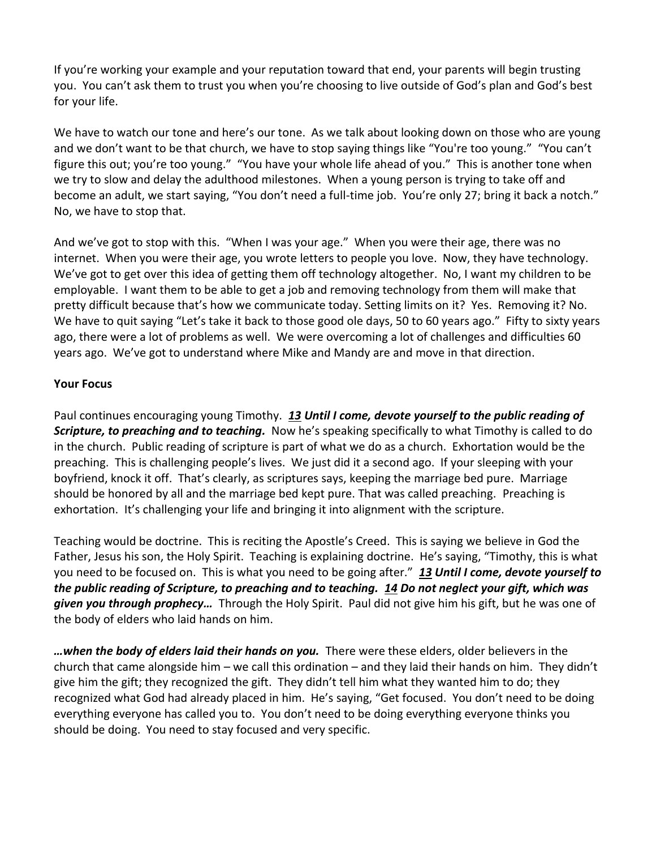If you're working your example and your reputation toward that end, your parents will begin trusting you. You can't ask them to trust you when you're choosing to live outside of God's plan and God's best for your life.

We have to watch our tone and here's our tone. As we talk about looking down on those who are young and we don't want to be that church, we have to stop saying things like "You're too young." "You can't figure this out; you're too young." "You have your whole life ahead of you." This is another tone when we try to slow and delay the adulthood milestones. When a young person is trying to take off and become an adult, we start saying, "You don't need a full-time job. You're only 27; bring it back a notch." No, we have to stop that.

And we've got to stop with this. "When I was your age." When you were their age, there was no internet. When you were their age, you wrote letters to people you love. Now, they have technology. We've got to get over this idea of getting them off technology altogether. No, I want my children to be employable. I want them to be able to get a job and removing technology from them will make that pretty difficult because that's how we communicate today. Setting limits on it? Yes. Removing it? No. We have to quit saying "Let's take it back to those good ole days, 50 to 60 years ago." Fifty to sixty years ago, there were a lot of problems as well. We were overcoming a lot of challenges and difficulties 60 years ago. We've got to understand where Mike and Mandy are and move in that direction.

## **Your Focus**

Paul continues encouraging young Timothy. *[13](http://www.studylight.org/desk/?q=1ti%204:13&t1=en_niv&sr=1) Until I come, devote yourself to the public reading of Scripture, to preaching and to teaching.* Now he's speaking specifically to what Timothy is called to do in the church. Public reading of scripture is part of what we do as a church. Exhortation would be the preaching. This is challenging people's lives. We just did it a second ago. If your sleeping with your boyfriend, knock it off. That's clearly, as scriptures says, keeping the marriage bed pure. Marriage should be honored by all and the marriage bed kept pure. That was called preaching. Preaching is exhortation. It's challenging your life and bringing it into alignment with the scripture.

Teaching would be doctrine. This is reciting the Apostle's Creed. This is saying we believe in God the Father, Jesus his son, the Holy Spirit. Teaching is explaining doctrine. He's saying, "Timothy, this is what you need to be focused on. This is what you need to be going after." *[13](http://www.studylight.org/desk/?q=1ti%204:13&t1=en_niv&sr=1) Until I come, devote yourself to the public reading of Scripture, to preaching and to teaching. [14](http://www.studylight.org/desk/?q=1ti%204:14&t1=en_niv&sr=1) Do not neglect your gift, which was given you through prophecy…* Through the Holy Spirit. Paul did not give him his gift, but he was one of the body of elders who laid hands on him.

*…when the body of elders laid their hands on you.* There were these elders, older believers in the church that came alongside him – we call this ordination – and they laid their hands on him. They didn't give him the gift; they recognized the gift. They didn't tell him what they wanted him to do; they recognized what God had already placed in him. He's saying, "Get focused. You don't need to be doing everything everyone has called you to. You don't need to be doing everything everyone thinks you should be doing. You need to stay focused and very specific.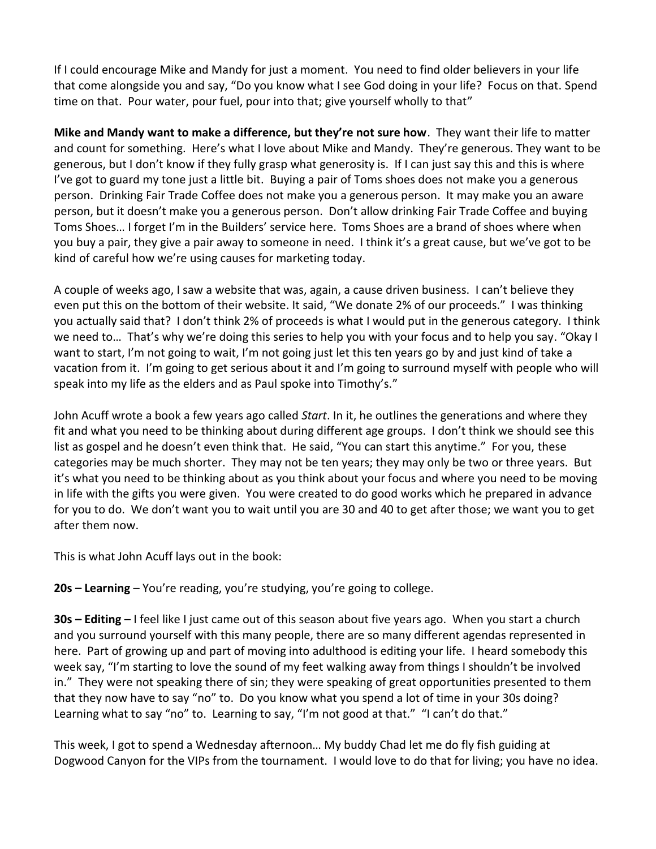If I could encourage Mike and Mandy for just a moment. You need to find older believers in your life that come alongside you and say, "Do you know what I see God doing in your life? Focus on that. Spend time on that. Pour water, pour fuel, pour into that; give yourself wholly to that"

**Mike and Mandy want to make a difference, but they're not sure how**. They want their life to matter and count for something. Here's what I love about Mike and Mandy. They're generous. They want to be generous, but I don't know if they fully grasp what generosity is. If I can just say this and this is where I've got to guard my tone just a little bit. Buying a pair of Toms shoes does not make you a generous person. Drinking Fair Trade Coffee does not make you a generous person. It may make you an aware person, but it doesn't make you a generous person. Don't allow drinking Fair Trade Coffee and buying Toms Shoes… I forget I'm in the Builders' service here. Toms Shoes are a brand of shoes where when you buy a pair, they give a pair away to someone in need. I think it's a great cause, but we've got to be kind of careful how we're using causes for marketing today.

A couple of weeks ago, I saw a website that was, again, a cause driven business. I can't believe they even put this on the bottom of their website. It said, "We donate 2% of our proceeds." I was thinking you actually said that? I don't think 2% of proceeds is what I would put in the generous category. I think we need to… That's why we're doing this series to help you with your focus and to help you say. "Okay I want to start, I'm not going to wait, I'm not going just let this ten years go by and just kind of take a vacation from it. I'm going to get serious about it and I'm going to surround myself with people who will speak into my life as the elders and as Paul spoke into Timothy's."

John Acuff wrote a book a few years ago called *Start*. In it, he outlines the generations and where they fit and what you need to be thinking about during different age groups. I don't think we should see this list as gospel and he doesn't even think that. He said, "You can start this anytime." For you, these categories may be much shorter. They may not be ten years; they may only be two or three years. But it's what you need to be thinking about as you think about your focus and where you need to be moving in life with the gifts you were given. You were created to do good works which he prepared in advance for you to do. We don't want you to wait until you are 30 and 40 to get after those; we want you to get after them now.

This is what John Acuff lays out in the book:

**20s – Learning** – You're reading, you're studying, you're going to college.

**30s – Editing** – I feel like I just came out of this season about five years ago. When you start a church and you surround yourself with this many people, there are so many different agendas represented in here. Part of growing up and part of moving into adulthood is editing your life. I heard somebody this week say, "I'm starting to love the sound of my feet walking away from things I shouldn't be involved in." They were not speaking there of sin; they were speaking of great opportunities presented to them that they now have to say "no" to. Do you know what you spend a lot of time in your 30s doing? Learning what to say "no" to. Learning to say, "I'm not good at that." "I can't do that."

This week, I got to spend a Wednesday afternoon… My buddy Chad let me do fly fish guiding at Dogwood Canyon for the VIPs from the tournament. I would love to do that for living; you have no idea.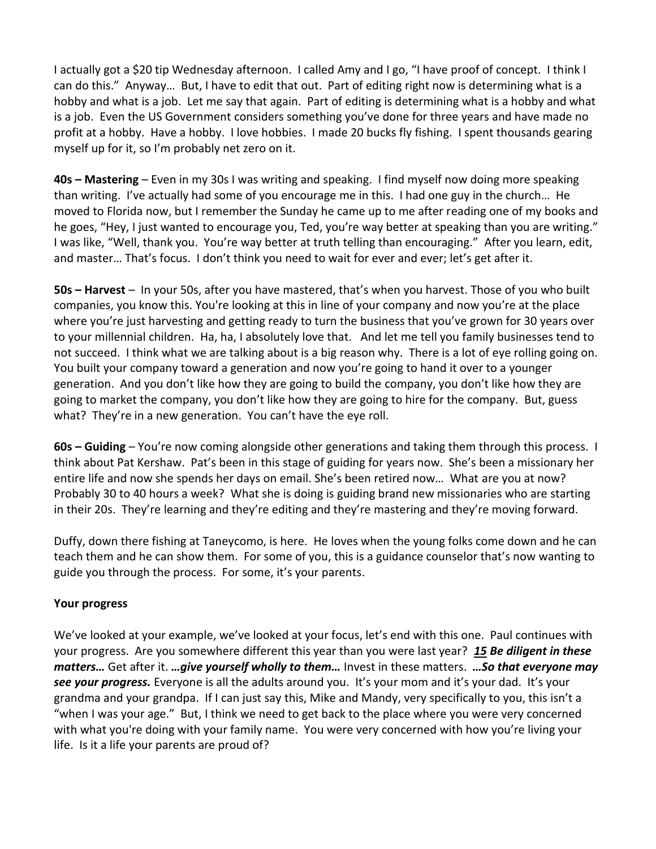I actually got a \$20 tip Wednesday afternoon. I called Amy and I go, "I have proof of concept. I think I can do this." Anyway… But, I have to edit that out. Part of editing right now is determining what is a hobby and what is a job. Let me say that again. Part of editing is determining what is a hobby and what is a job. Even the US Government considers something you've done for three years and have made no profit at a hobby. Have a hobby. I love hobbies. I made 20 bucks fly fishing. I spent thousands gearing myself up for it, so I'm probably net zero on it.

**40s – Mastering** – Even in my 30s I was writing and speaking. I find myself now doing more speaking than writing. I've actually had some of you encourage me in this. I had one guy in the church… He moved to Florida now, but I remember the Sunday he came up to me after reading one of my books and he goes, "Hey, I just wanted to encourage you, Ted, you're way better at speaking than you are writing." I was like, "Well, thank you. You're way better at truth telling than encouraging." After you learn, edit, and master… That's focus. I don't think you need to wait for ever and ever; let's get after it.

**50s – Harvest** – In your 50s, after you have mastered, that's when you harvest. Those of you who built companies, you know this. You're looking at this in line of your company and now you're at the place where you're just harvesting and getting ready to turn the business that you've grown for 30 years over to your millennial children. Ha, ha, I absolutely love that. And let me tell you family businesses tend to not succeed. I think what we are talking about is a big reason why. There is a lot of eye rolling going on. You built your company toward a generation and now you're going to hand it over to a younger generation. And you don't like how they are going to build the company, you don't like how they are going to market the company, you don't like how they are going to hire for the company. But, guess what? They're in a new generation. You can't have the eye roll.

**60s – Guiding** – You're now coming alongside other generations and taking them through this process. I think about Pat Kershaw. Pat's been in this stage of guiding for years now. She's been a missionary her entire life and now she spends her days on email. She's been retired now… What are you at now? Probably 30 to 40 hours a week? What she is doing is guiding brand new missionaries who are starting in their 20s. They're learning and they're editing and they're mastering and they're moving forward.

Duffy, down there fishing at Taneycomo, is here. He loves when the young folks come down and he can teach them and he can show them. For some of you, this is a guidance counselor that's now wanting to guide you through the process. For some, it's your parents.

## **Your progress**

We've looked at your example, we've looked at your focus, let's end with this one. Paul continues with your progress. Are you somewhere different this year than you were last year? *[15](http://www.studylight.org/desk/?q=1ti%204:15&t1=en_niv&sr=1) Be diligent in these matters…* Get after it. *…give yourself wholly to them…* Invest in these matters. *…So that everyone may see your progress.* Everyone is all the adults around you. It's your mom and it's your dad. It's your grandma and your grandpa. If I can just say this, Mike and Mandy, very specifically to you, this isn't a "when I was your age." But, I think we need to get back to the place where you were very concerned with what you're doing with your family name. You were very concerned with how you're living your life. Is it a life your parents are proud of?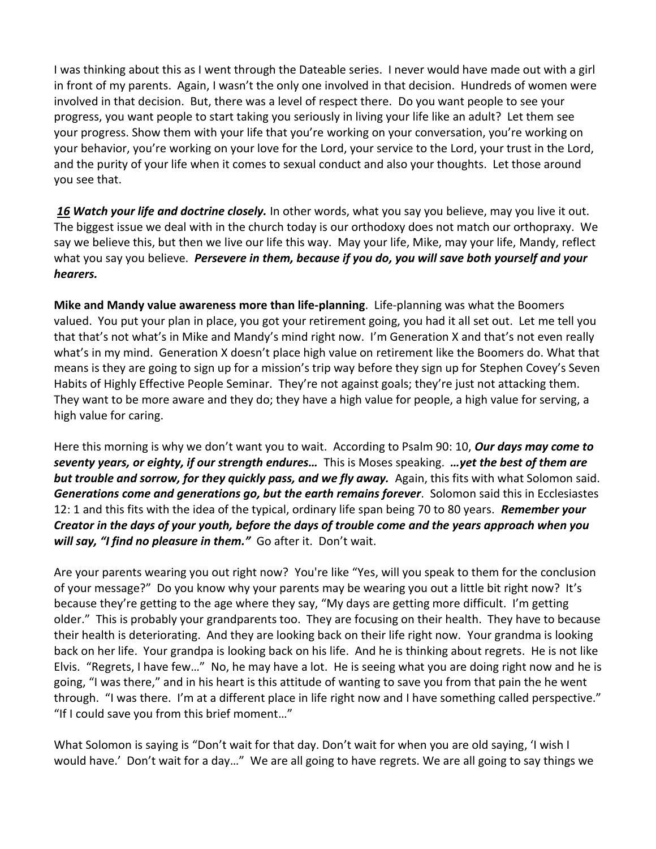I was thinking about this as I went through the Dateable series. I never would have made out with a girl in front of my parents. Again, I wasn't the only one involved in that decision. Hundreds of women were involved in that decision. But, there was a level of respect there. Do you want people to see your progress, you want people to start taking you seriously in living your life like an adult? Let them see your progress. Show them with your life that you're working on your conversation, you're working on your behavior, you're working on your love for the Lord, your service to the Lord, your trust in the Lord, and the purity of your life when it comes to sexual conduct and also your thoughts. Let those around you see that.

*[16](http://www.studylight.org/desk/?q=1ti%204:16&t1=en_niv&sr=1) Watch your life and doctrine closely.* In other words, what you say you believe, may you live it out. The biggest issue we deal with in the church today is our orthodoxy does not match our orthopraxy. We say we believe this, but then we live our life this way. May your life, Mike, may your life, Mandy, reflect what you say you believe. *Persevere in them, because if you do, you will save both yourself and your hearers.* 

**Mike and Mandy value awareness more than life-planning**. Life-planning was what the Boomers valued. You put your plan in place, you got your retirement going, you had it all set out. Let me tell you that that's not what's in Mike and Mandy's mind right now. I'm Generation X and that's not even really what's in my mind. Generation X doesn't place high value on retirement like the Boomers do. What that means is they are going to sign up for a mission's trip way before they sign up for Stephen Covey's Seven Habits of Highly Effective People Seminar. They're not against goals; they're just not attacking them. They want to be more aware and they do; they have a high value for people, a high value for serving, a high value for caring.

Here this morning is why we don't want you to wait. According to Psalm 90: 10, *Our days may come to seventy years, or eighty, if our strength endures…* This is Moses speaking. *…yet the best of them are but trouble and sorrow, for they quickly pass, and we fly away.* Again, this fits with what Solomon said. *Generations come and generations go, but the earth remains forever*. Solomon said this in Ecclesiastes 12: 1 and this fits with the idea of the typical, ordinary life span being 70 to 80 years. *Remember your Creator in the days of your youth, before the days of trouble come and the years approach when you will say, "I find no pleasure in them."* Go after it. Don't wait.

Are your parents wearing you out right now? You're like "Yes, will you speak to them for the conclusion of your message?" Do you know why your parents may be wearing you out a little bit right now? It's because they're getting to the age where they say, "My days are getting more difficult. I'm getting older." This is probably your grandparents too. They are focusing on their health. They have to because their health is deteriorating. And they are looking back on their life right now. Your grandma is looking back on her life. Your grandpa is looking back on his life. And he is thinking about regrets. He is not like Elvis. "Regrets, I have few…" No, he may have a lot. He is seeing what you are doing right now and he is going, "I was there," and in his heart is this attitude of wanting to save you from that pain the he went through. "I was there. I'm at a different place in life right now and I have something called perspective." "If I could save you from this brief moment…"

What Solomon is saying is "Don't wait for that day. Don't wait for when you are old saying, 'I wish I would have.' Don't wait for a day…" We are all going to have regrets. We are all going to say things we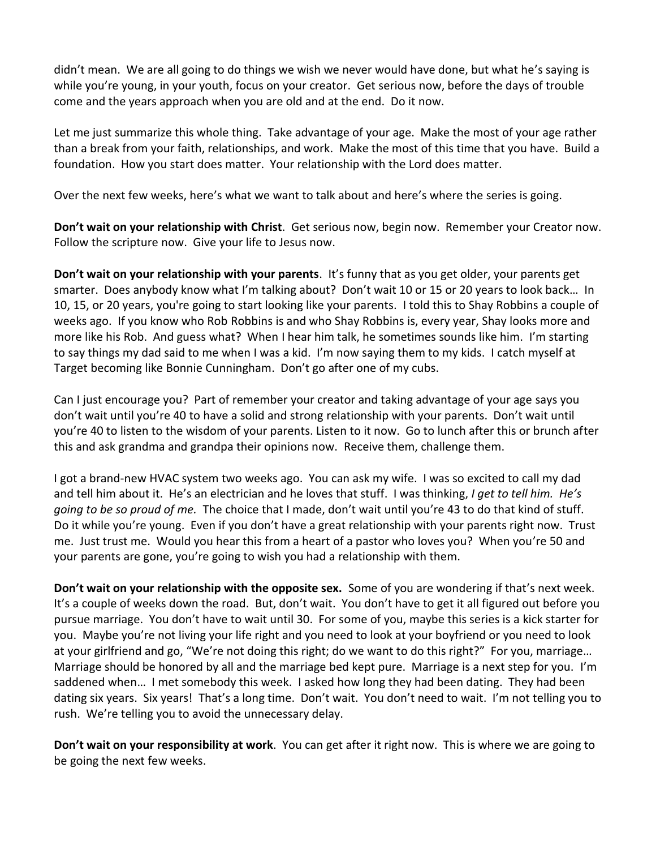didn't mean. We are all going to do things we wish we never would have done, but what he's saying is while you're young, in your youth, focus on your creator. Get serious now, before the days of trouble come and the years approach when you are old and at the end. Do it now.

Let me just summarize this whole thing. Take advantage of your age. Make the most of your age rather than a break from your faith, relationships, and work. Make the most of this time that you have. Build a foundation. How you start does matter. Your relationship with the Lord does matter.

Over the next few weeks, here's what we want to talk about and here's where the series is going.

**Don't wait on your relationship with Christ**. Get serious now, begin now. Remember your Creator now. Follow the scripture now. Give your life to Jesus now.

**Don't wait on your relationship with your parents**. It's funny that as you get older, your parents get smarter. Does anybody know what I'm talking about? Don't wait 10 or 15 or 20 years to look back… In 10, 15, or 20 years, you're going to start looking like your parents. I told this to Shay Robbins a couple of weeks ago. If you know who Rob Robbins is and who Shay Robbins is, every year, Shay looks more and more like his Rob. And guess what? When I hear him talk, he sometimes sounds like him. I'm starting to say things my dad said to me when I was a kid. I'm now saying them to my kids. I catch myself at Target becoming like Bonnie Cunningham. Don't go after one of my cubs.

Can I just encourage you? Part of remember your creator and taking advantage of your age says you don't wait until you're 40 to have a solid and strong relationship with your parents. Don't wait until you're 40 to listen to the wisdom of your parents. Listen to it now. Go to lunch after this or brunch after this and ask grandma and grandpa their opinions now. Receive them, challenge them.

I got a brand-new HVAC system two weeks ago. You can ask my wife. I was so excited to call my dad and tell him about it. He's an electrician and he loves that stuff. I was thinking, *I get to tell him. He's going to be so proud of me.* The choice that I made, don't wait until you're 43 to do that kind of stuff. Do it while you're young. Even if you don't have a great relationship with your parents right now. Trust me. Just trust me. Would you hear this from a heart of a pastor who loves you? When you're 50 and your parents are gone, you're going to wish you had a relationship with them.

**Don't wait on your relationship with the opposite sex.** Some of you are wondering if that's next week. It's a couple of weeks down the road. But, don't wait. You don't have to get it all figured out before you pursue marriage. You don't have to wait until 30. For some of you, maybe this series is a kick starter for you. Maybe you're not living your life right and you need to look at your boyfriend or you need to look at your girlfriend and go, "We're not doing this right; do we want to do this right?" For you, marriage… Marriage should be honored by all and the marriage bed kept pure. Marriage is a next step for you. I'm saddened when… I met somebody this week. I asked how long they had been dating. They had been dating six years. Six years! That's a long time. Don't wait. You don't need to wait. I'm not telling you to rush. We're telling you to avoid the unnecessary delay.

**Don't wait on your responsibility at work**. You can get after it right now. This is where we are going to be going the next few weeks.